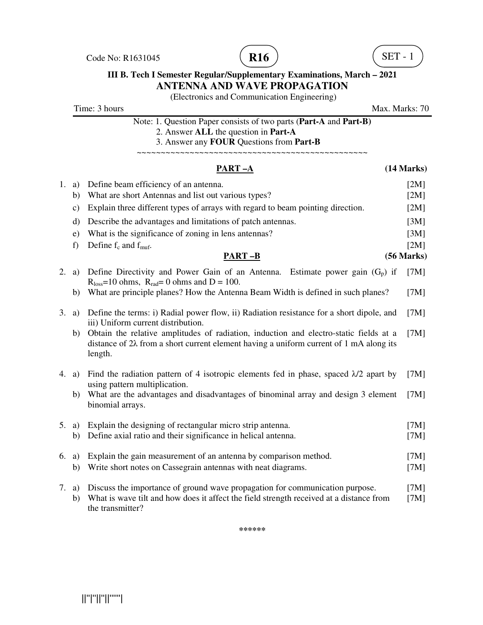Code No: R1631045 **R16**  $\overline{R16}$  (**R16**  $\overline{R16}$  (**SET** - 1





### **III B. Tech I Semester Regular/Supplementary Examinations, March – 2021 ANTENNA AND WAVE PROPAGATION**

(Electronics and Communication Engineering)

Time: 3 hours Max. Marks: 70

Note: 1. Question Paper consists of two parts (**Part-A** and **Part-B)** 2. Answer **ALL** the question in **Part-A**

3. Answer any **FOUR** Questions from **Part-B**

~~~~~~~~~~~~~~~~~~~~~~~~~~~~~~~~~~~~~~~~~~~~~~~~

### **PART –A (14 Marks)** 1. a) Define beam efficiency of an antenna. [2M] b) What are short Antennas and list out various types? [2M] c) Explain three different types of arrays with regard to beam pointing direction. [2M] d) Describe the advantages and limitations of patch antennas. [3M] e) What is the significance of zoning in lens antennas? [3M] f) Define  $f_c$  and  $f_{\text{muf.}}$  [2M] **PART –B (56 Marks)** 2. a) Define Directivity and Power Gain of an Antenna. Estimate power gain  $(G_p)$  if  $R<sub>loss</sub>=10 ohms$ ,  $R<sub>rad</sub>= 0 ohms$  and  $D = 100$ . [7M] b) What are principle planes? How the Antenna Beam Width is defined in such planes? [7M] 3. a) Define the terms: i) Radial power flow, ii) Radiation resistance for a short dipole, and iii) Uniform current distribution. [7M] b) Obtain the relative amplitudes of radiation, induction and electro-static fields at a distance of 2λ from a short current element having a uniform current of 1 mA along its length. [7M] 4. a) Find the radiation pattern of 4 isotropic elements fed in phase, spaced  $\lambda/2$  apart by using pattern multiplication. [7M] b) What are the advantages and disadvantages of binominal array and design 3 element binomial arrays. [7M] 5. a) Explain the designing of rectangular micro strip antenna. [7M] b) Define axial ratio and their significance in helical antenna. [7M] 6. a) Explain the gain measurement of an antenna by comparison method. [7M] b) Write short notes on Cassegrain antennas with neat diagrams. [7M] 7. a) Discuss the importance of ground wave propagation for communication purpose. [7M] b) What is wave tilt and how does it affect the field strength received at a distance from the transmitter? [7M]

**\*\*\*\*\*\***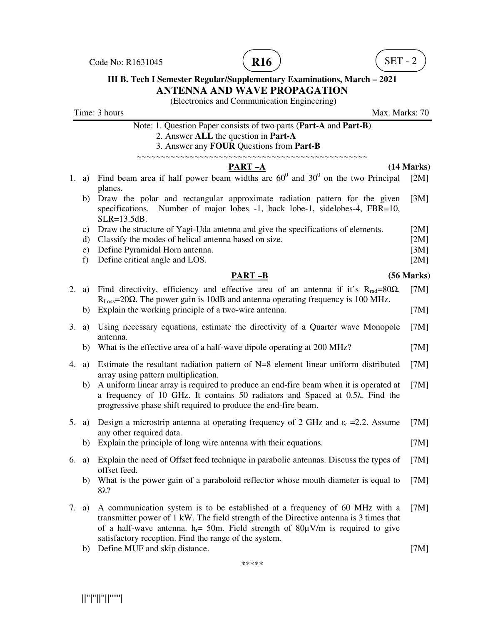Code No: R1631045  $(R16)$   $SET - 2$ 





# **III B. Tech I Semester Regular/Supplementary Examinations, March – 2021 ANTENNA AND WAVE PROPAGATION**

(Electronics and Communication Engineering)

|    |                    | Time: 3 hours<br>Max. Marks: 70                                                                                                                                                                                                                                                                                                            |              |
|----|--------------------|--------------------------------------------------------------------------------------------------------------------------------------------------------------------------------------------------------------------------------------------------------------------------------------------------------------------------------------------|--------------|
|    |                    | Note: 1. Question Paper consists of two parts (Part-A and Part-B)<br>2. Answer ALL the question in Part-A<br>3. Answer any FOUR Questions from Part-B<br>~~~~~~~~~~~~~~~~~                                                                                                                                                                 |              |
|    |                    | PART-A                                                                                                                                                                                                                                                                                                                                     | (14 Marks)   |
| 1. | a)                 | Find beam area if half power beam widths are $60^{\circ}$ and $30^{\circ}$ on the two Principal<br>planes.                                                                                                                                                                                                                                 | [2M]         |
|    | b)                 | Draw the polar and rectangular approximate radiation pattern for the given<br>Number of major lobes -1, back lobe-1, sidelobes-4, FBR=10,<br>specifications.<br>$SLR = 13.5dB$ .                                                                                                                                                           | [3M]         |
|    | C)                 | Draw the structure of Yagi-Uda antenna and give the specifications of elements.                                                                                                                                                                                                                                                            | [2M]         |
|    | d)                 | Classify the modes of helical antenna based on size.                                                                                                                                                                                                                                                                                       | [2M]         |
|    | $\epsilon$ )<br>f) | Define Pyramidal Horn antenna.<br>Define critical angle and LOS.                                                                                                                                                                                                                                                                           | [3M]<br>[2M] |
|    |                    | <b>PART-B</b>                                                                                                                                                                                                                                                                                                                              | (56 Marks)   |
| 2. | a)                 | Find directivity, efficiency and effective area of an antenna if it's $R_{rad} = 80\Omega$ ,<br>$R_{Loss} = 20\Omega$ . The power gain is 10dB and antenna operating frequency is 100 MHz.                                                                                                                                                 | [7M]         |
|    | b)                 | Explain the working principle of a two-wire antenna.                                                                                                                                                                                                                                                                                       | [7M]         |
| 3. | a)                 | Using necessary equations, estimate the directivity of a Quarter wave Monopole<br>antenna.                                                                                                                                                                                                                                                 | [7M]         |
|    | b)                 | What is the effective area of a half-wave dipole operating at 200 MHz?                                                                                                                                                                                                                                                                     | [7M]         |
| 4. | a)                 | Estimate the resultant radiation pattern of $N=8$ element linear uniform distributed<br>array using pattern multiplication.                                                                                                                                                                                                                | [7M]         |
|    | b)                 | A uniform linear array is required to produce an end-fire beam when it is operated at<br>a frequency of 10 GHz. It contains 50 radiators and Spaced at 0.5 $\lambda$ . Find the<br>progressive phase shift required to produce the end-fire beam.                                                                                          | [7M]         |
| 5. | a)                 | Design a microstrip antenna at operating frequency of 2 GHz and $\varepsilon_r = 2.2$ . Assume<br>any other required data.                                                                                                                                                                                                                 | [7M]         |
|    | b)                 | Explain the principle of long wire antenna with their equations.                                                                                                                                                                                                                                                                           | [7M]         |
|    |                    | 6. a) Explain the need of Offset feed technique in parabolic antennas. Discuss the types of<br>offset feed.                                                                                                                                                                                                                                | [7M]         |
|    | b)                 | What is the power gain of a paraboloid reflector whose mouth diameter is equal to<br>$8\lambda$ ?                                                                                                                                                                                                                                          | [7M]         |
| 7. | a)                 | A communication system is to be established at a frequency of 60 MHz with a<br>transmitter power of 1 kW. The field strength of the Directive antenna is 3 times that<br>of a half-wave antenna. h <sub><math>t=50</math></sub> Field strength of $80\mu$ V/m is required to give<br>satisfactory reception. Find the range of the system. | [7M]         |

b) Define MUF and skip distance. [7M]

\*\*\*\*\*

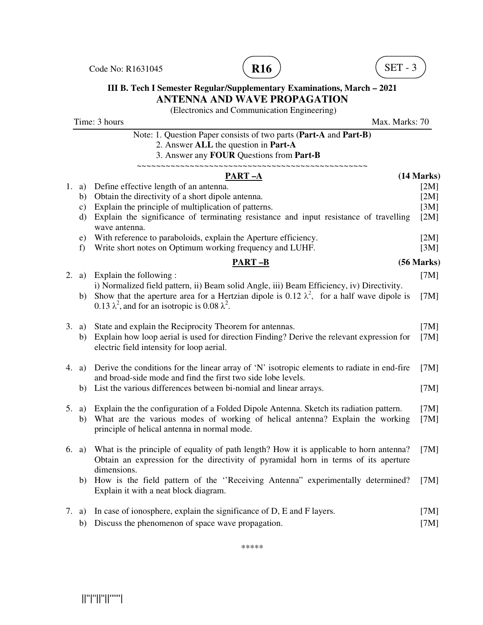Code No: R1631045 **R16**  $\overline{R16}$  (SET - 3





### **III B. Tech I Semester Regular/Supplementary Examinations, March – 2021 ANTENNA AND WAVE PROPAGATION**

(Electronics and Communication Engineering)

Time: 3 hours Max. Marks: 70 Note: 1. Question Paper consists of two parts (**Part-A** and **Part-B)** 2. Answer **ALL** the question in **Part-A** 3. Answer any **FOUR** Questions from **Part-B** ~~~~~~~~~~~~~~~~~~~~~~~~~~~~~~~~~~~~~~~~~~~~~~~~ **PART –A (14 Marks)** 1. a) Define effective length of an antenna. [2M] b) Obtain the directivity of a short dipole antenna. [2M] c) Explain the principle of multiplication of patterns. [3M] d) Explain the significance of terminating resistance and input resistance of travelling wave antenna.  $[2M]$  e) With reference to paraboloids, explain the Aperture efficiency. [2M] f) Write short notes on Optimum working frequency and LUHF. [3M] **PART –B (56 Marks)** 2. a) Explain the following : i) Normalized field pattern, ii) Beam solid Angle, iii) Beam Efficiency, iv) Directivity. [7M] b) Show that the aperture area for a Hertzian dipole is 0.12  $\lambda^2$ , for a half wave dipole is 0.13  $\lambda^2$ , and for an isotropic is 0.08  $\lambda^2$ . [7M] 3. a) State and explain the Reciprocity Theorem for antennas. [7M] b) Explain how loop aerial is used for direction Finding? Derive the relevant expression for electric field intensity for loop aerial. [7M] 4. a) Derive the conditions for the linear array of 'N' isotropic elements to radiate in end-fire and broad-side mode and find the first two side lobe levels. [7M] b) List the various differences between bi-nomial and linear arrays. [7M] 5. a) Explain the the configuration of a Folded Dipole Antenna. Sketch its radiation pattern. [7M] b) What are the various modes of working of helical antenna? Explain the working principle of helical antenna in normal mode. [7M] 6. a) What is the principle of equality of path length? How it is applicable to horn antenna? Obtain an expression for the directivity of pyramidal horn in terms of its aperture dimensions. [7M] b) How is the field pattern of the ''Receiving Antenna" experimentally determined? Explain it with a neat block diagram. [7M] 7. a) In case of ionosphere, explain the significance of D, E and F layers. [7M]

b) Discuss the phenomenon of space wave propagation. [7M]

\*\*\*\*\*